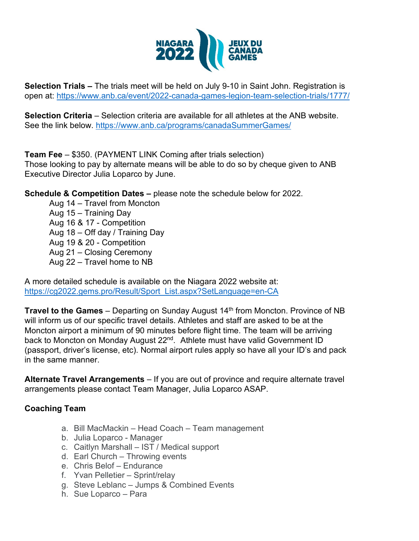

**Selection Trials –** The trials meet will be held on July 9-10 in Saint John. Registration is open at:<https://www.anb.ca/event/2022-canada-games-legion-team-selection-trials/1777/>

**Selection Criteria** – Selection criteria are available for all athletes at the ANB website. See the link below.<https://www.anb.ca/programs/canadaSummerGames/>

**Team Fee** – \$350. (PAYMENT LINK Coming after trials selection) Those looking to pay by alternate means will be able to do so by cheque given to ANB Executive Director Julia Loparco by June.

**Schedule & Competition Dates –** please note the schedule below for 2022.

Aug 14 – Travel from Moncton Aug 15 – Training Day Aug 16 & 17 - Competition Aug 18 – Off day / Training Day Aug 19 & 20 - Competition Aug 21 – Closing Ceremony Aug 22 – Travel home to NB

A more detailed schedule is available on the Niagara 2022 website at: [https://cg2022.gems.pro/Result/Sport\\_List.aspx?SetLanguage=en-CA](https://cg2022.gems.pro/Result/Sport_List.aspx?SetLanguage=en-CA)

**Travel to the Games** – Departing on Sunday August 14<sup>th</sup> from Moncton. Province of NB will inform us of our specific travel details. Athletes and staff are asked to be at the Moncton airport a minimum of 90 minutes before flight time. The team will be arriving back to Moncton on Monday August 22<sup>nd</sup>. Athlete must have valid Government ID (passport, driver's license, etc). Normal airport rules apply so have all your ID's and pack in the same manner.

**Alternate Travel Arrangements** – If you are out of province and require alternate travel arrangements please contact Team Manager, Julia Loparco ASAP.

## **Coaching Team**

- a. Bill MacMackin Head Coach Team management
- b. Julia Loparco Manager
- c. Caitlyn Marshall IST / Medical support
- d. Earl Church Throwing events
- e. Chris Belof Endurance
- f. Yvan Pelletier Sprint/relay
- g. Steve Leblanc Jumps & Combined Events
- h. Sue Loparco Para